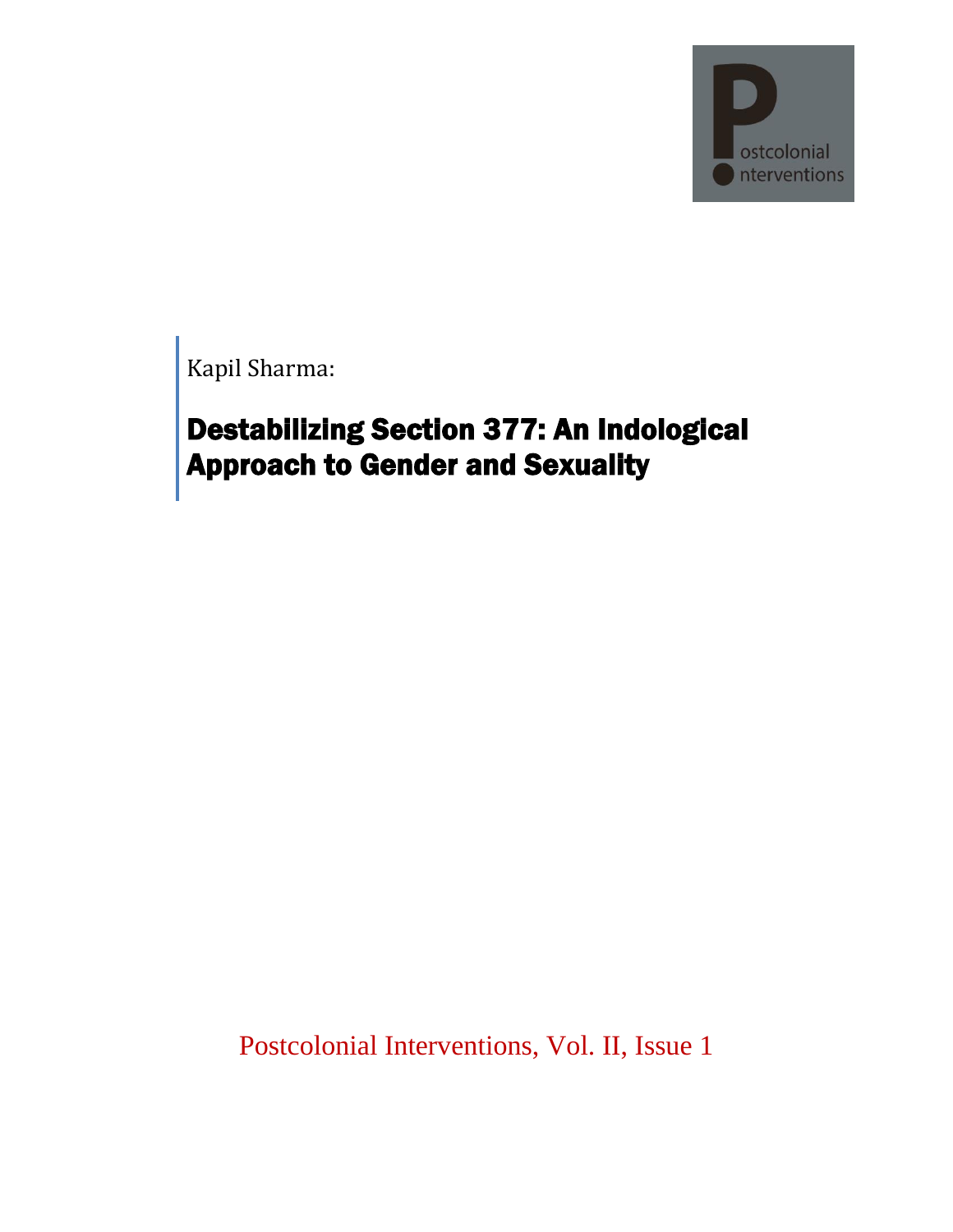

Kapil Sharma:

# Destabilizing Section 377: An Indological Approach to Gender and Sexuality

Postcolonial Interventions, Vol. II, Issue 1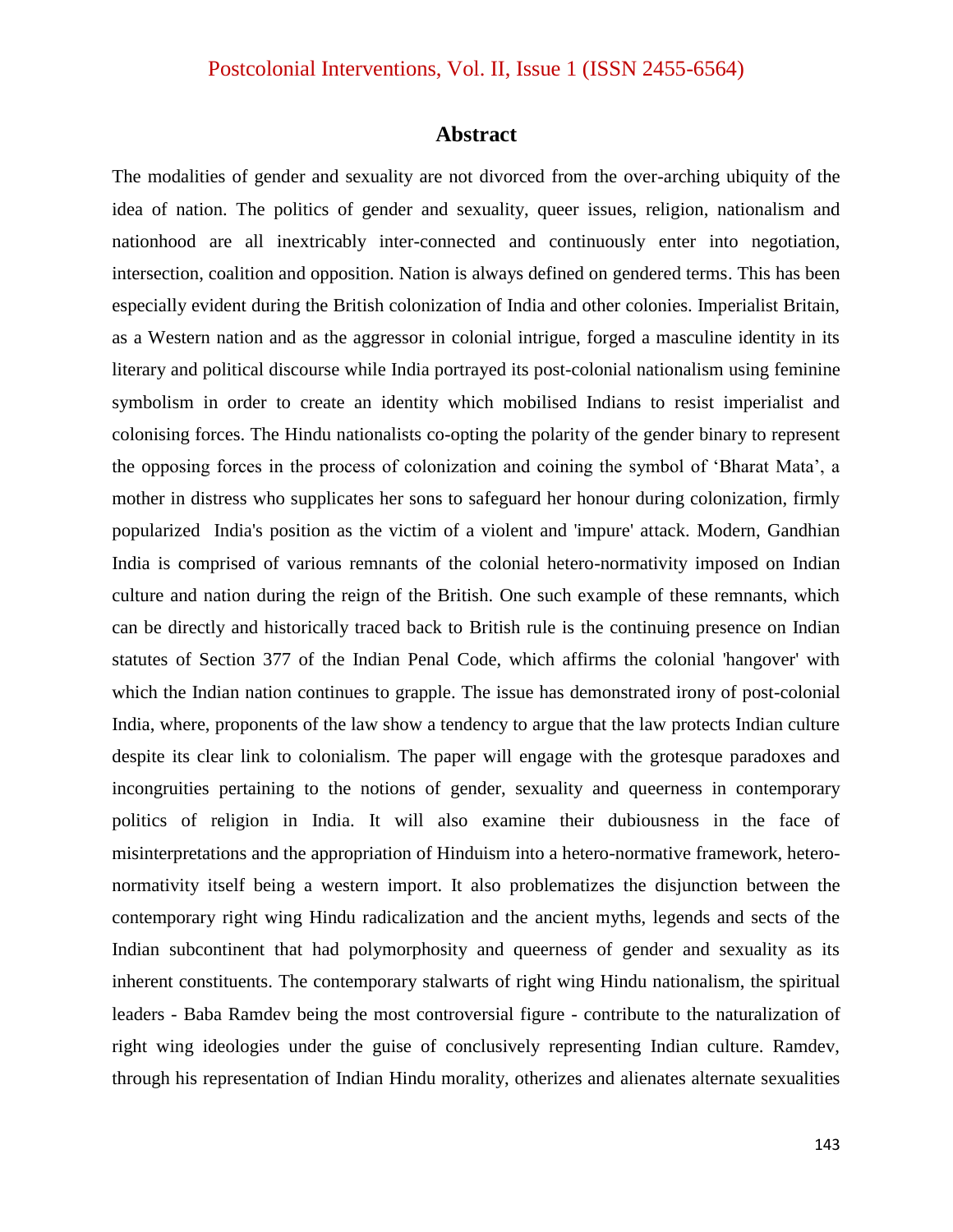#### **Abstract**

The modalities of gender and sexuality are not divorced from the over-arching ubiquity of the idea of nation. The politics of gender and sexuality, queer issues, religion, nationalism and nationhood are all inextricably inter-connected and continuously enter into negotiation, intersection, coalition and opposition. Nation is always defined on gendered terms. This has been especially evident during the British colonization of India and other colonies. Imperialist Britain, as a Western nation and as the aggressor in colonial intrigue, forged a masculine identity in its literary and political discourse while India portrayed its post-colonial nationalism using feminine symbolism in order to create an identity which mobilised Indians to resist imperialist and colonising forces. The Hindu nationalists co-opting the polarity of the gender binary to represent the opposing forces in the process of colonization and coining the symbol of "Bharat Mata", a mother in distress who supplicates her sons to safeguard her honour during colonization, firmly popularized India's position as the victim of a violent and 'impure' attack. Modern, Gandhian India is comprised of various remnants of the colonial hetero-normativity imposed on Indian culture and nation during the reign of the British. One such example of these remnants, which can be directly and historically traced back to British rule is the continuing presence on Indian statutes of Section 377 of the Indian Penal Code, which affirms the colonial 'hangover' with which the Indian nation continues to grapple. The issue has demonstrated irony of post-colonial India, where, proponents of the law show a tendency to argue that the law protects Indian culture despite its clear link to colonialism. The paper will engage with the grotesque paradoxes and incongruities pertaining to the notions of gender, sexuality and queerness in contemporary politics of religion in India. It will also examine their dubiousness in the face of misinterpretations and the appropriation of Hinduism into a hetero-normative framework, heteronormativity itself being a western import. It also problematizes the disjunction between the contemporary right wing Hindu radicalization and the ancient myths, legends and sects of the Indian subcontinent that had polymorphosity and queerness of gender and sexuality as its inherent constituents. The contemporary stalwarts of right wing Hindu nationalism, the spiritual leaders - Baba Ramdev being the most controversial figure - contribute to the naturalization of right wing ideologies under the guise of conclusively representing Indian culture. Ramdev, through his representation of Indian Hindu morality, otherizes and alienates alternate sexualities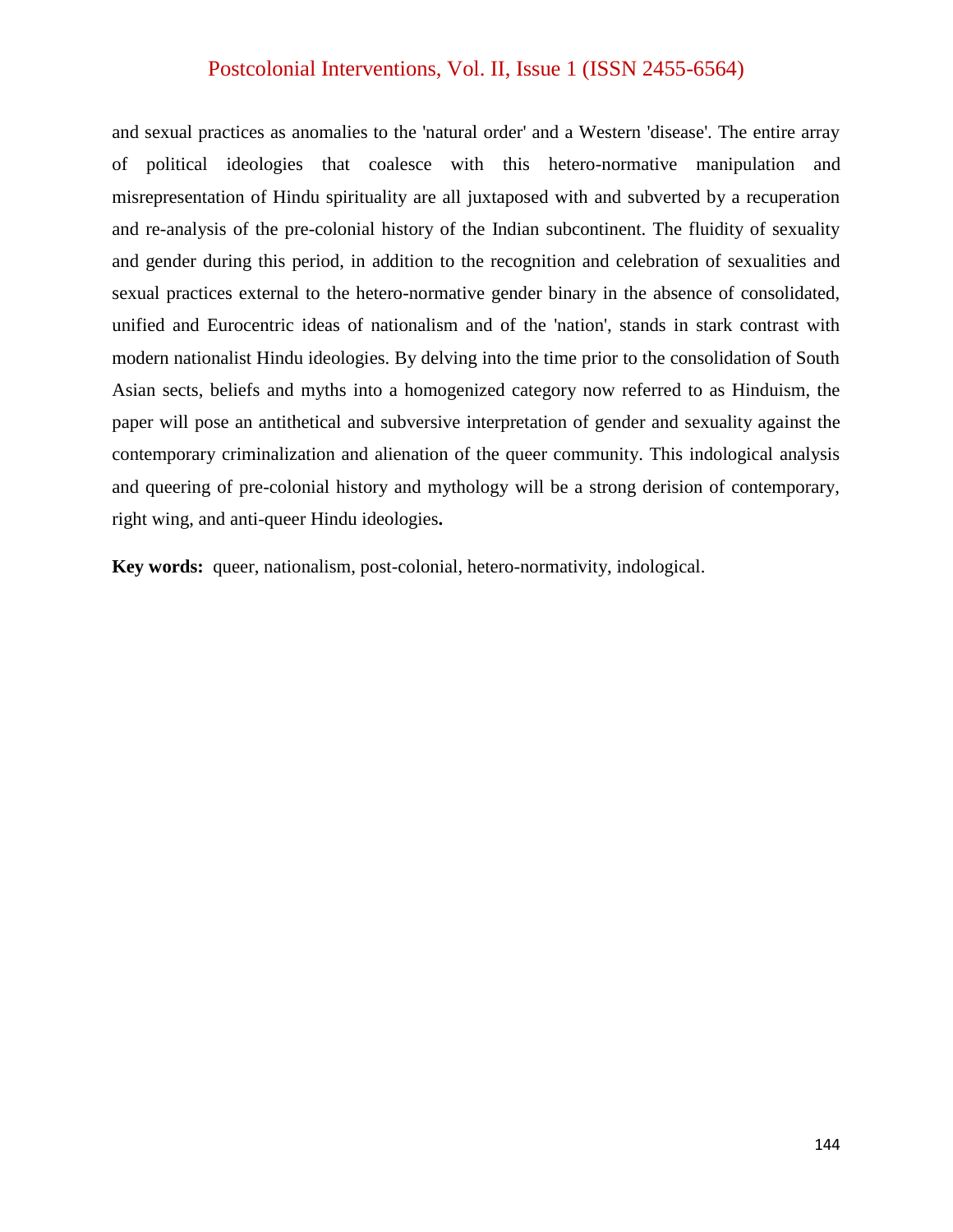and sexual practices as anomalies to the 'natural order' and a Western 'disease'. The entire array of political ideologies that coalesce with this hetero-normative manipulation and misrepresentation of Hindu spirituality are all juxtaposed with and subverted by a recuperation and re-analysis of the pre-colonial history of the Indian subcontinent. The fluidity of sexuality and gender during this period, in addition to the recognition and celebration of sexualities and sexual practices external to the hetero-normative gender binary in the absence of consolidated, unified and Eurocentric ideas of nationalism and of the 'nation', stands in stark contrast with modern nationalist Hindu ideologies. By delving into the time prior to the consolidation of South Asian sects, beliefs and myths into a homogenized category now referred to as Hinduism, the paper will pose an antithetical and subversive interpretation of gender and sexuality against the contemporary criminalization and alienation of the queer community. This indological analysis and queering of pre-colonial history and mythology will be a strong derision of contemporary, right wing, and anti-queer Hindu ideologies**.**

**Key words:** queer, nationalism, post-colonial, hetero-normativity, indological.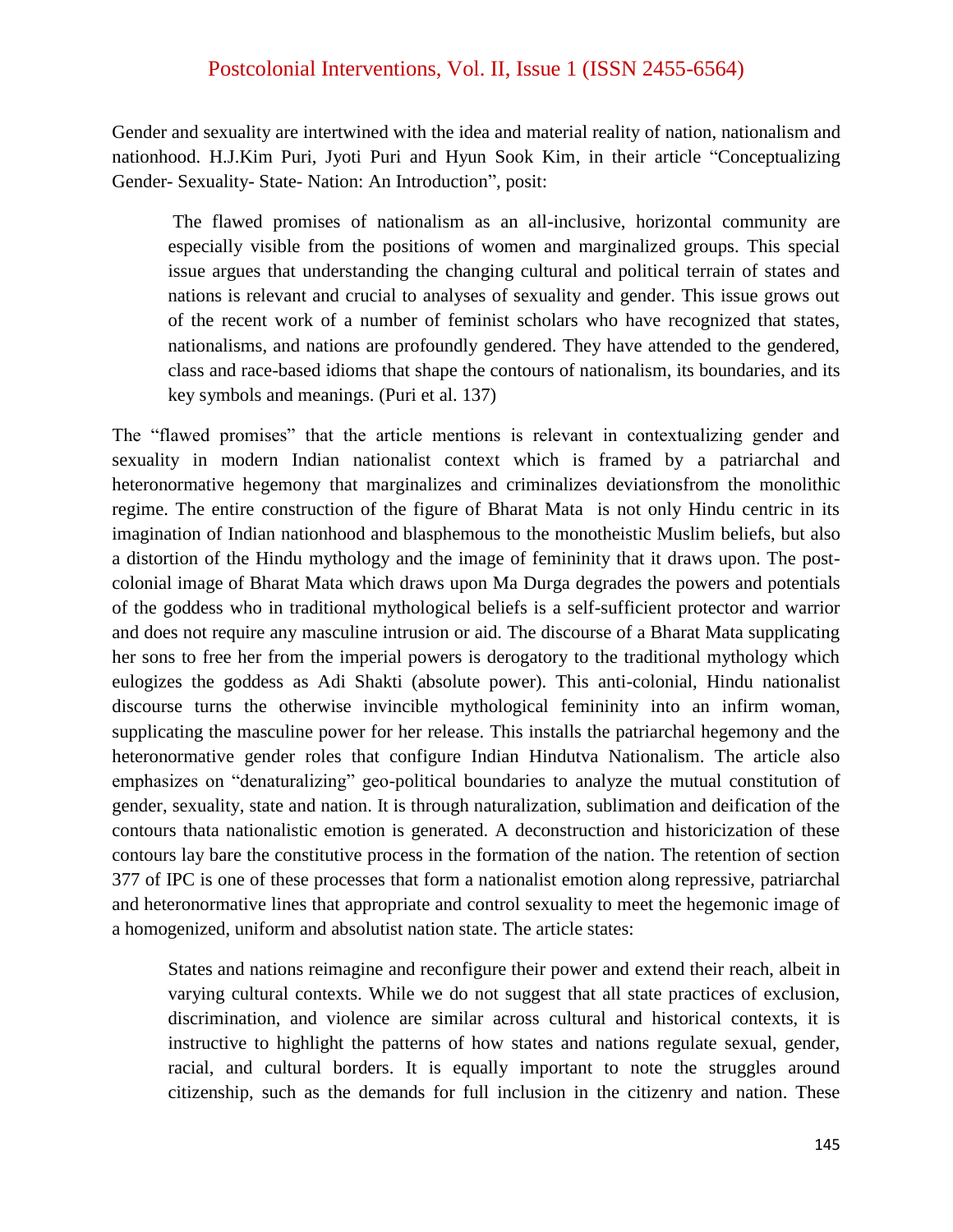Gender and sexuality are intertwined with the idea and material reality of nation, nationalism and nationhood. H.J.Kim Puri, Jyoti Puri and Hyun Sook Kim, in their article "Conceptualizing Gender- Sexuality- State- Nation: An Introduction", posit:

The flawed promises of nationalism as an all-inclusive, horizontal community are especially visible from the positions of women and marginalized groups. This special issue argues that understanding the changing cultural and political terrain of states and nations is relevant and crucial to analyses of sexuality and gender. This issue grows out of the recent work of a number of feminist scholars who have recognized that states, nationalisms, and nations are profoundly gendered. They have attended to the gendered, class and race-based idioms that shape the contours of nationalism, its boundaries, and its key symbols and meanings. (Puri et al. 137)

The "flawed promises" that the article mentions is relevant in contextualizing gender and sexuality in modern Indian nationalist context which is framed by a patriarchal and heteronormative hegemony that marginalizes and criminalizes deviationsfrom the monolithic regime. The entire construction of the figure of Bharat Mata is not only Hindu centric in its imagination of Indian nationhood and blasphemous to the monotheistic Muslim beliefs, but also a distortion of the Hindu mythology and the image of femininity that it draws upon. The postcolonial image of Bharat Mata which draws upon Ma Durga degrades the powers and potentials of the goddess who in traditional mythological beliefs is a self-sufficient protector and warrior and does not require any masculine intrusion or aid. The discourse of a Bharat Mata supplicating her sons to free her from the imperial powers is derogatory to the traditional mythology which eulogizes the goddess as Adi Shakti (absolute power). This anti-colonial, Hindu nationalist discourse turns the otherwise invincible mythological femininity into an infirm woman, supplicating the masculine power for her release. This installs the patriarchal hegemony and the heteronormative gender roles that configure Indian Hindutva Nationalism. The article also emphasizes on "denaturalizing" geo-political boundaries to analyze the mutual constitution of gender, sexuality, state and nation. It is through naturalization, sublimation and deification of the contours thata nationalistic emotion is generated. A deconstruction and historicization of these contours lay bare the constitutive process in the formation of the nation. The retention of section 377 of IPC is one of these processes that form a nationalist emotion along repressive, patriarchal and heteronormative lines that appropriate and control sexuality to meet the hegemonic image of a homogenized, uniform and absolutist nation state. The article states:

States and nations reimagine and reconfigure their power and extend their reach, albeit in varying cultural contexts. While we do not suggest that all state practices of exclusion, discrimination, and violence are similar across cultural and historical contexts, it is instructive to highlight the patterns of how states and nations regulate sexual, gender, racial, and cultural borders. It is equally important to note the struggles around citizenship, such as the demands for full inclusion in the citizenry and nation. These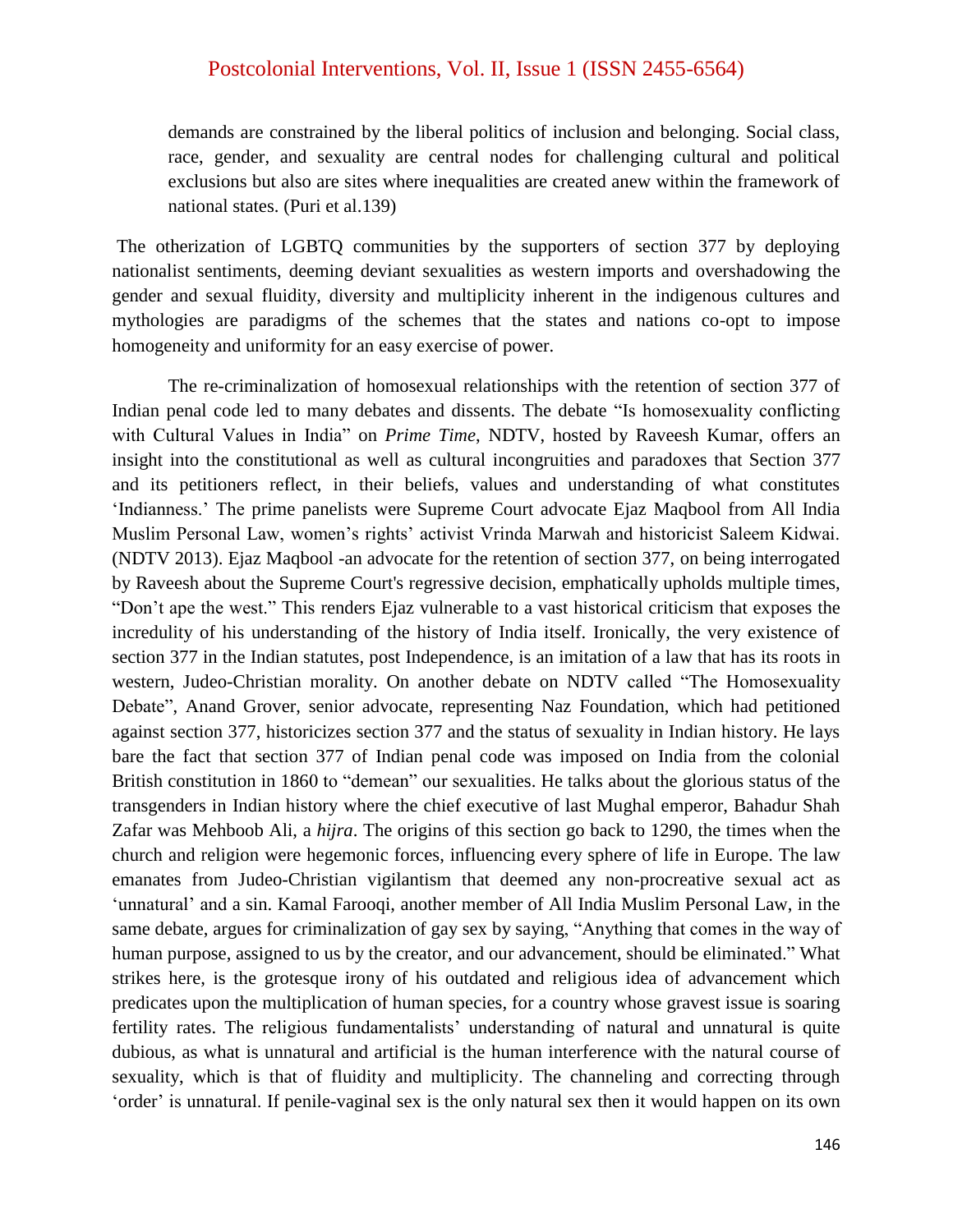demands are constrained by the liberal politics of inclusion and belonging. Social class, race, gender, and sexuality are central nodes for challenging cultural and political exclusions but also are sites where inequalities are created anew within the framework of national states. (Puri et al.139)

The otherization of LGBTQ communities by the supporters of section 377 by deploying nationalist sentiments, deeming deviant sexualities as western imports and overshadowing the gender and sexual fluidity, diversity and multiplicity inherent in the indigenous cultures and mythologies are paradigms of the schemes that the states and nations co-opt to impose homogeneity and uniformity for an easy exercise of power.

The re-criminalization of homosexual relationships with the retention of section 377 of Indian penal code led to many debates and dissents. The debate "Is homosexuality conflicting with Cultural Values in India" on *Prime Time*, NDTV, hosted by Raveesh Kumar, offers an insight into the constitutional as well as cultural incongruities and paradoxes that Section 377 and its petitioners reflect, in their beliefs, values and understanding of what constitutes 'Indianness.' The prime panelists were Supreme Court advocate Ejaz Maqbool from All India Muslim Personal Law, women"s rights" activist Vrinda Marwah and historicist Saleem Kidwai. (NDTV 2013). Ejaz Maqbool -an advocate for the retention of section 377, on being interrogated by Raveesh about the Supreme Court's regressive decision, emphatically upholds multiple times, "Don"t ape the west." This renders Ejaz vulnerable to a vast historical criticism that exposes the incredulity of his understanding of the history of India itself. Ironically, the very existence of section 377 in the Indian statutes, post Independence, is an imitation of a law that has its roots in western, Judeo-Christian morality. On another debate on NDTV called "The Homosexuality Debate", Anand Grover, senior advocate, representing Naz Foundation, which had petitioned against section 377, historicizes section 377 and the status of sexuality in Indian history. He lays bare the fact that section 377 of Indian penal code was imposed on India from the colonial British constitution in 1860 to "demean" our sexualities. He talks about the glorious status of the transgenders in Indian history where the chief executive of last Mughal emperor, Bahadur Shah Zafar was Mehboob Ali, a *hijra*. The origins of this section go back to 1290, the times when the church and religion were hegemonic forces, influencing every sphere of life in Europe. The law emanates from Judeo-Christian vigilantism that deemed any non-procreative sexual act as 'unnatural' and a sin. Kamal Farooqi, another member of All India Muslim Personal Law, in the same debate, argues for criminalization of gay sex by saying, "Anything that comes in the way of human purpose, assigned to us by the creator, and our advancement, should be eliminated." What strikes here, is the grotesque irony of his outdated and religious idea of advancement which predicates upon the multiplication of human species, for a country whose gravest issue is soaring fertility rates. The religious fundamentalists' understanding of natural and unnatural is quite dubious, as what is unnatural and artificial is the human interference with the natural course of sexuality, which is that of fluidity and multiplicity. The channeling and correcting through "order" is unnatural. If penile-vaginal sex is the only natural sex then it would happen on its own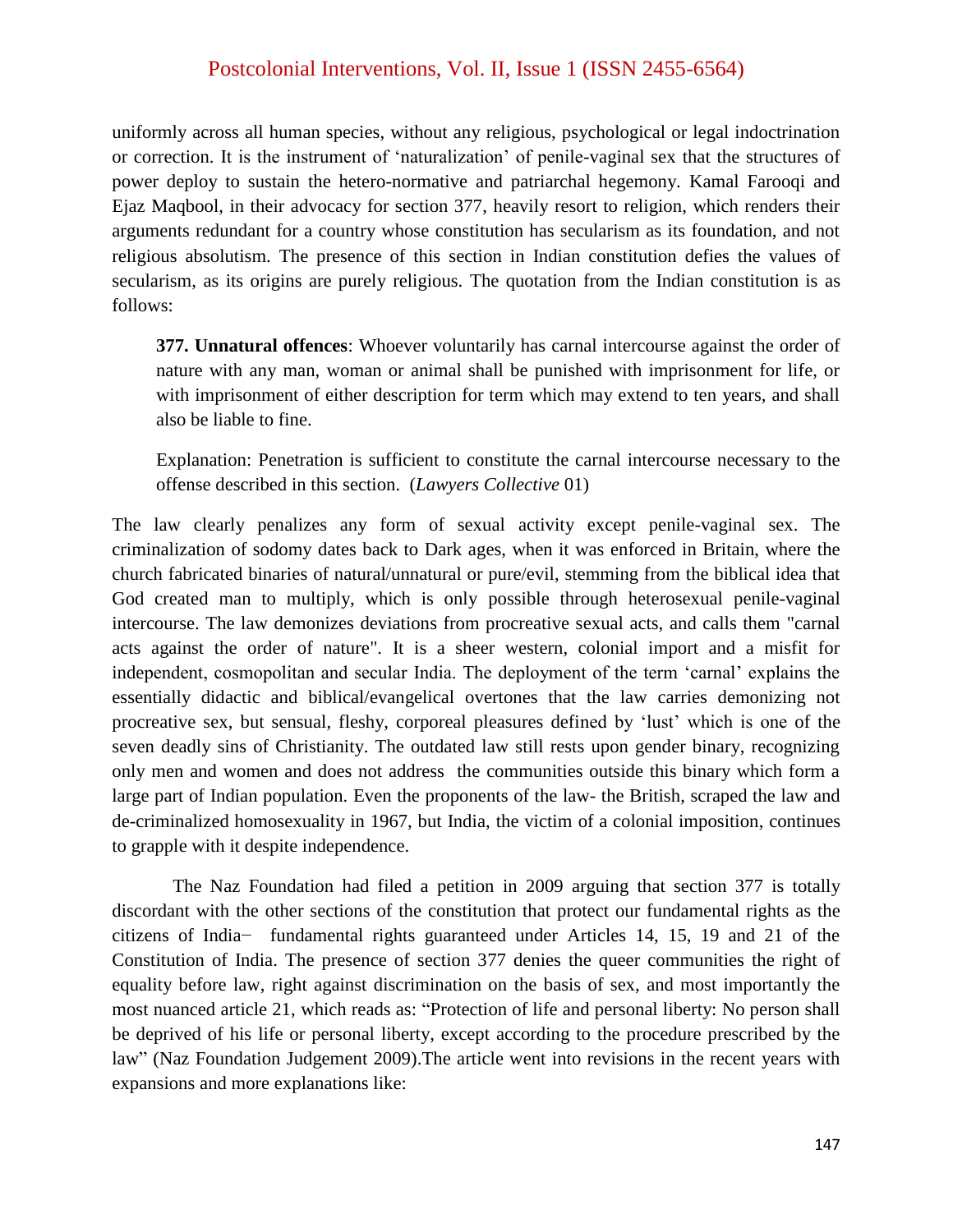uniformly across all human species, without any religious, psychological or legal indoctrination or correction. It is the instrument of "naturalization" of penile-vaginal sex that the structures of power deploy to sustain the hetero-normative and patriarchal hegemony. Kamal Farooqi and Ejaz Maqbool, in their advocacy for section 377, heavily resort to religion, which renders their arguments redundant for a country whose constitution has secularism as its foundation, and not religious absolutism. The presence of this section in Indian constitution defies the values of secularism, as its origins are purely religious. The quotation from the Indian constitution is as follows:

**377. Unnatural offences**: Whoever voluntarily has carnal intercourse against the order of nature with any man, woman or animal shall be punished with imprisonment for life, or with imprisonment of either description for term which may extend to ten years, and shall also be liable to fine.

Explanation: Penetration is sufficient to constitute the carnal intercourse necessary to the offense described in this section. (*Lawyers Collective* 01)

The law clearly penalizes any form of sexual activity except penile-vaginal sex. The criminalization of sodomy dates back to Dark ages, when it was enforced in Britain, where the church fabricated binaries of natural/unnatural or pure/evil, stemming from the biblical idea that God created man to multiply, which is only possible through heterosexual penile-vaginal intercourse. The law demonizes deviations from procreative sexual acts, and calls them "carnal acts against the order of nature". It is a sheer western, colonial import and a misfit for independent, cosmopolitan and secular India. The deployment of the term "carnal" explains the essentially didactic and biblical/evangelical overtones that the law carries demonizing not procreative sex, but sensual, fleshy, corporeal pleasures defined by "lust" which is one of the seven deadly sins of Christianity. The outdated law still rests upon gender binary, recognizing only men and women and does not address the communities outside this binary which form a large part of Indian population. Even the proponents of the law- the British, scraped the law and de-criminalized homosexuality in 1967, but India, the victim of a colonial imposition, continues to grapple with it despite independence.

The Naz Foundation had filed a petition in 2009 arguing that section 377 is totally discordant with the other sections of the constitution that protect our fundamental rights as the citizens of India− fundamental rights guaranteed under Articles 14, 15, 19 and 21 of the Constitution of India. The presence of section 377 denies the queer communities the right of equality before law, right against discrimination on the basis of sex, and most importantly the most nuanced article 21, which reads as: "Protection of life and personal liberty: No person shall be deprived of his life or personal liberty, except according to the procedure prescribed by the law" (Naz Foundation Judgement 2009).The article went into revisions in the recent years with expansions and more explanations like: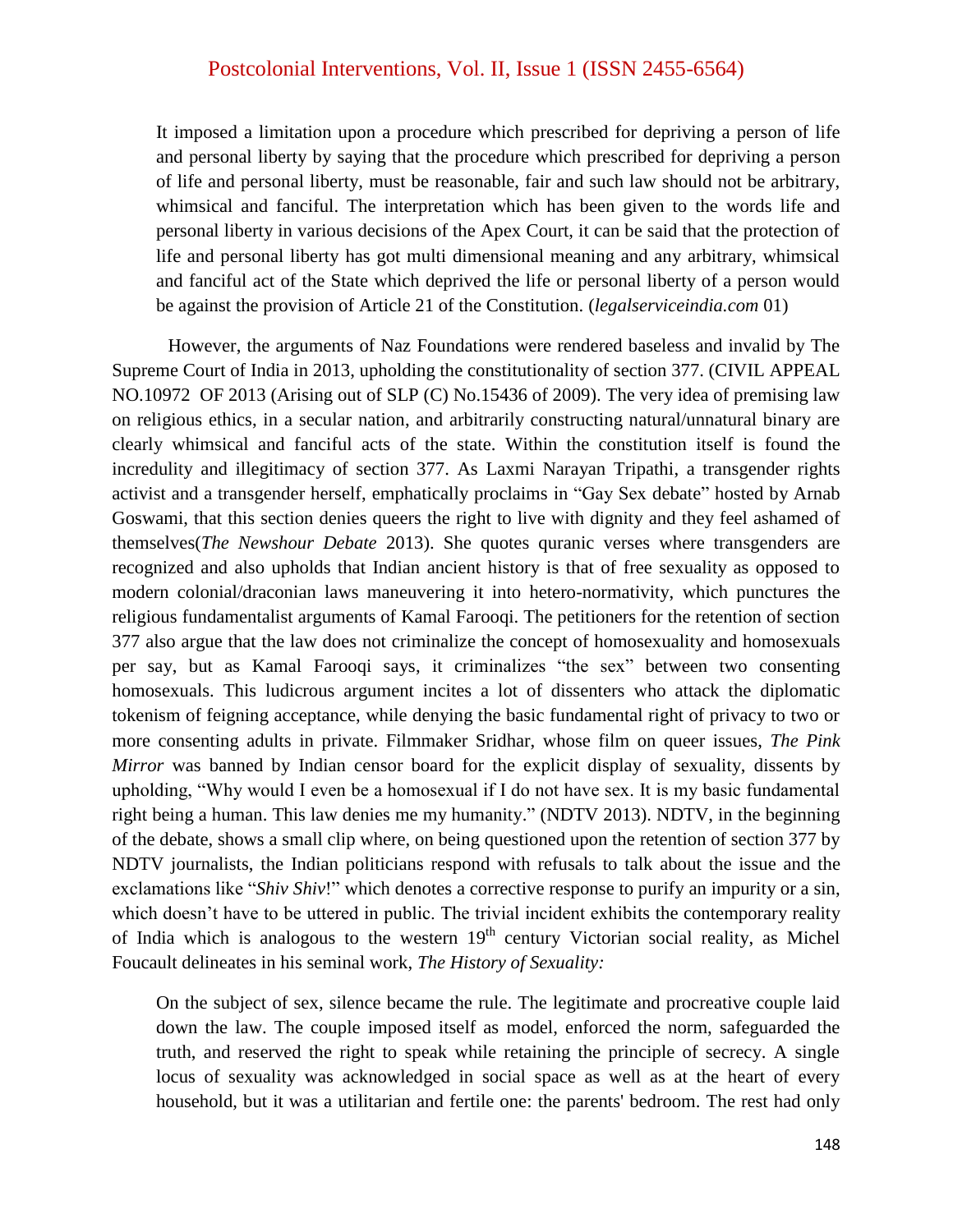It imposed a limitation upon a procedure which prescribed for depriving a person of life and personal liberty by saying that the procedure which prescribed for depriving a person of life and personal liberty, must be reasonable, fair and such law should not be arbitrary, whimsical and fanciful. The interpretation which has been given to the words life and personal liberty in various decisions of the Apex Court, it can be said that the protection of life and personal liberty has got multi dimensional meaning and any arbitrary, whimsical and fanciful act of the State which deprived the life or personal liberty of a person would be against the provision of Article 21 of the Constitution. (*legalserviceindia.com* 01)

However, the arguments of Naz Foundations were rendered baseless and invalid by The Supreme Court of India in 2013, upholding the constitutionality of section 377. (CIVIL APPEAL NO.10972 OF 2013 (Arising out of SLP (C) No.15436 of 2009). The very idea of premising law on religious ethics, in a secular nation, and arbitrarily constructing natural/unnatural binary are clearly whimsical and fanciful acts of the state. Within the constitution itself is found the incredulity and illegitimacy of section 377. As Laxmi Narayan Tripathi, a transgender rights activist and a transgender herself, emphatically proclaims in "Gay Sex debate" hosted by Arnab Goswami, that this section denies queers the right to live with dignity and they feel ashamed of themselves(*The Newshour Debate* 2013). She quotes quranic verses where transgenders are recognized and also upholds that Indian ancient history is that of free sexuality as opposed to modern colonial/draconian laws maneuvering it into hetero-normativity, which punctures the religious fundamentalist arguments of Kamal Farooqi. The petitioners for the retention of section 377 also argue that the law does not criminalize the concept of homosexuality and homosexuals per say, but as Kamal Farooqi says, it criminalizes "the sex" between two consenting homosexuals. This ludicrous argument incites a lot of dissenters who attack the diplomatic tokenism of feigning acceptance, while denying the basic fundamental right of privacy to two or more consenting adults in private. Filmmaker Sridhar, whose film on queer issues, *The Pink Mirror* was banned by Indian censor board for the explicit display of sexuality, dissents by upholding, "Why would I even be a homosexual if I do not have sex. It is my basic fundamental right being a human. This law denies me my humanity." (NDTV 2013). NDTV, in the beginning of the debate, shows a small clip where, on being questioned upon the retention of section 377 by NDTV journalists, the Indian politicians respond with refusals to talk about the issue and the exclamations like "*Shiv Shiv*!" which denotes a corrective response to purify an impurity or a sin, which doesn't have to be uttered in public. The trivial incident exhibits the contemporary reality of India which is analogous to the western  $19<sup>th</sup>$  century Victorian social reality, as Michel Foucault delineates in his seminal work, *The History of Sexuality:* 

On the subject of sex, silence became the rule. The legitimate and procreative couple laid down the law. The couple imposed itself as model, enforced the norm, safeguarded the truth, and reserved the right to speak while retaining the principle of secrecy. A single locus of sexuality was acknowledged in social space as well as at the heart of every household, but it was a utilitarian and fertile one: the parents' bedroom. The rest had only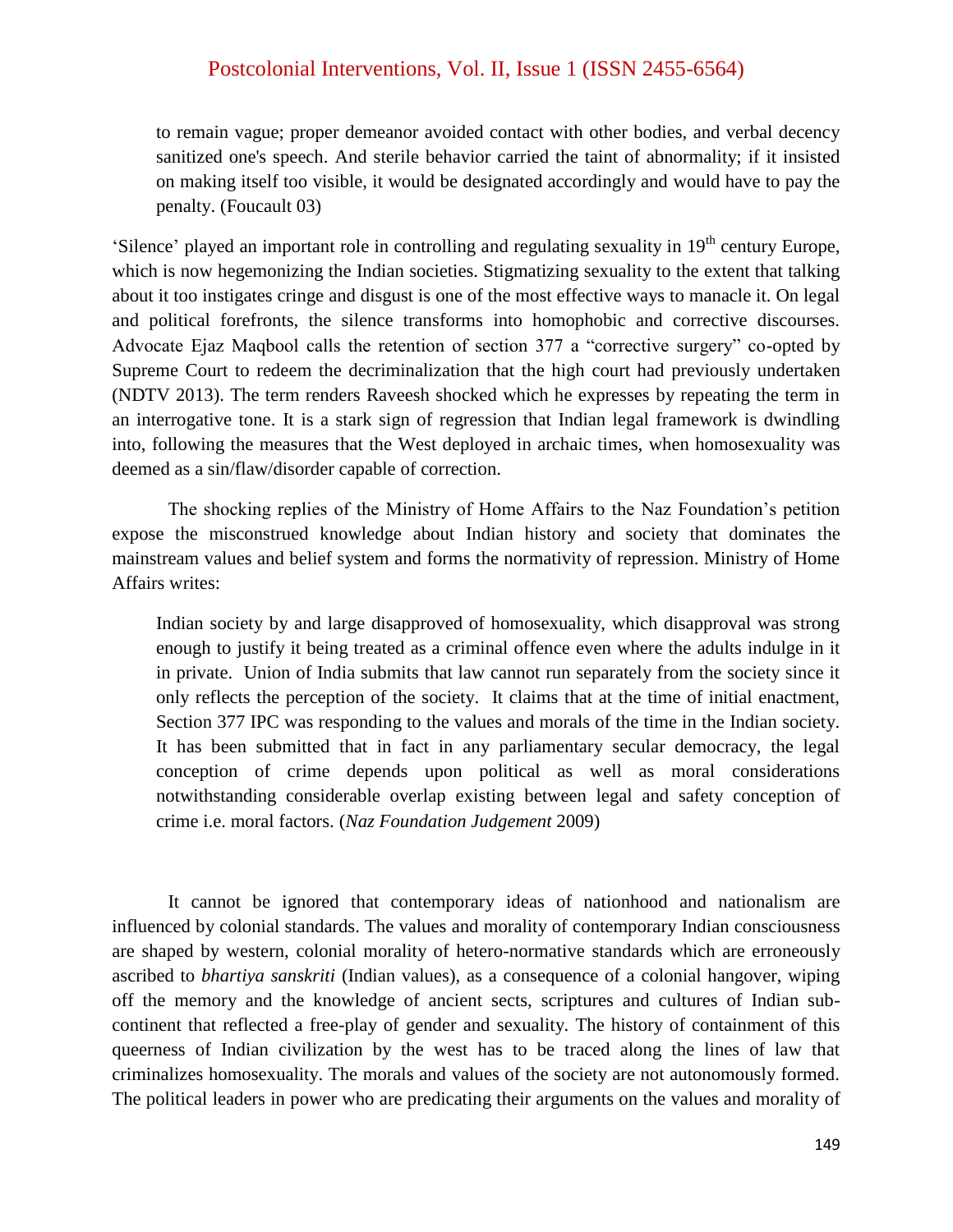to remain vague; proper demeanor avoided contact with other bodies, and verbal decency sanitized one's speech. And sterile behavior carried the taint of abnormality; if it insisted on making itself too visible, it would be designated accordingly and would have to pay the penalty. (Foucault 03)

"Silence" played an important role in controlling and regulating sexuality in 19<sup>th</sup> century Europe, which is now hegemonizing the Indian societies. Stigmatizing sexuality to the extent that talking about it too instigates cringe and disgust is one of the most effective ways to manacle it. On legal and political forefronts, the silence transforms into homophobic and corrective discourses. Advocate Ejaz Maqbool calls the retention of section 377 a "corrective surgery" co-opted by Supreme Court to redeem the decriminalization that the high court had previously undertaken (NDTV 2013). The term renders Raveesh shocked which he expresses by repeating the term in an interrogative tone. It is a stark sign of regression that Indian legal framework is dwindling into, following the measures that the West deployed in archaic times, when homosexuality was deemed as a sin/flaw/disorder capable of correction.

The shocking replies of the Ministry of Home Affairs to the Naz Foundation"s petition expose the misconstrued knowledge about Indian history and society that dominates the mainstream values and belief system and forms the normativity of repression. Ministry of Home Affairs writes:

Indian society by and large disapproved of homosexuality, which disapproval was strong enough to justify it being treated as a criminal offence even where the adults indulge in it in private. Union of India submits that law cannot run separately from the society since it only reflects the perception of the society. It claims that at the time of initial enactment, Section 377 IPC was responding to the values and morals of the time in the Indian society. It has been submitted that in fact in any parliamentary secular democracy, the legal conception of crime depends upon political as well as moral considerations notwithstanding considerable overlap existing between legal and safety conception of crime i.e. moral factors. (*Naz Foundation Judgement* 2009)

It cannot be ignored that contemporary ideas of nationhood and nationalism are influenced by colonial standards. The values and morality of contemporary Indian consciousness are shaped by western, colonial morality of hetero-normative standards which are erroneously ascribed to *bhartiya sanskriti* (Indian values), as a consequence of a colonial hangover, wiping off the memory and the knowledge of ancient sects, scriptures and cultures of Indian subcontinent that reflected a free-play of gender and sexuality. The history of containment of this queerness of Indian civilization by the west has to be traced along the lines of law that criminalizes homosexuality. The morals and values of the society are not autonomously formed. The political leaders in power who are predicating their arguments on the values and morality of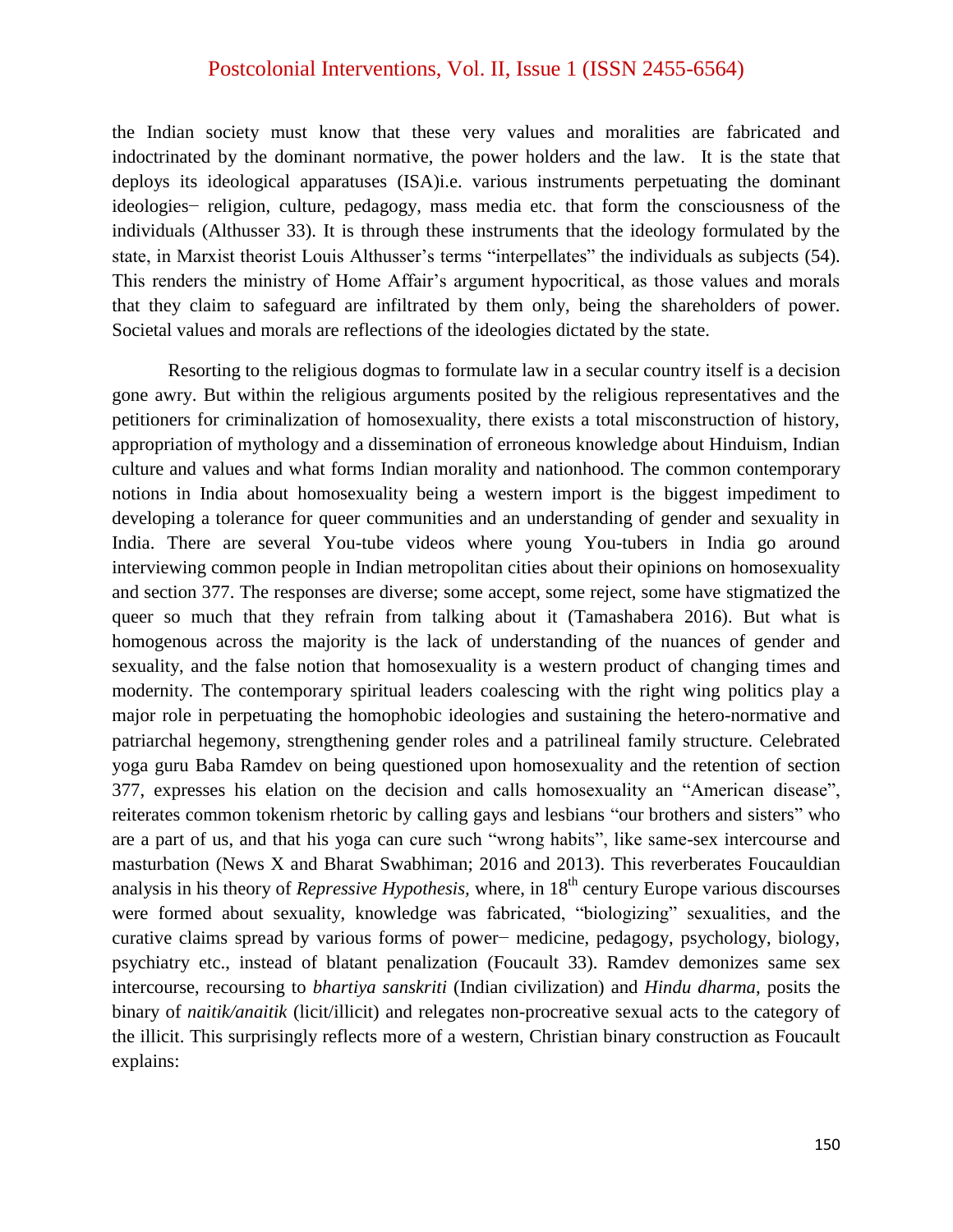the Indian society must know that these very values and moralities are fabricated and indoctrinated by the dominant normative, the power holders and the law. It is the state that deploys its ideological apparatuses (ISA)i.e. various instruments perpetuating the dominant ideologies− religion, culture, pedagogy, mass media etc. that form the consciousness of the individuals (Althusser 33). It is through these instruments that the ideology formulated by the state, in Marxist theorist Louis Althusser's terms "interpellates" the individuals as subjects (54). This renders the ministry of Home Affair"s argument hypocritical, as those values and morals that they claim to safeguard are infiltrated by them only, being the shareholders of power. Societal values and morals are reflections of the ideologies dictated by the state.

Resorting to the religious dogmas to formulate law in a secular country itself is a decision gone awry. But within the religious arguments posited by the religious representatives and the petitioners for criminalization of homosexuality, there exists a total misconstruction of history, appropriation of mythology and a dissemination of erroneous knowledge about Hinduism, Indian culture and values and what forms Indian morality and nationhood. The common contemporary notions in India about homosexuality being a western import is the biggest impediment to developing a tolerance for queer communities and an understanding of gender and sexuality in India. There are several You-tube videos where young You-tubers in India go around interviewing common people in Indian metropolitan cities about their opinions on homosexuality and section 377. The responses are diverse; some accept, some reject, some have stigmatized the queer so much that they refrain from talking about it (Tamashabera 2016). But what is homogenous across the majority is the lack of understanding of the nuances of gender and sexuality, and the false notion that homosexuality is a western product of changing times and modernity. The contemporary spiritual leaders coalescing with the right wing politics play a major role in perpetuating the homophobic ideologies and sustaining the hetero-normative and patriarchal hegemony, strengthening gender roles and a patrilineal family structure. Celebrated yoga guru Baba Ramdev on being questioned upon homosexuality and the retention of section 377, expresses his elation on the decision and calls homosexuality an "American disease", reiterates common tokenism rhetoric by calling gays and lesbians "our brothers and sisters" who are a part of us, and that his yoga can cure such "wrong habits", like same-sex intercourse and masturbation (News X and Bharat Swabhiman; 2016 and 2013). This reverberates Foucauldian analysis in his theory of *Repressive Hypothesis*, where, in 18<sup>th</sup> century Europe various discourses were formed about sexuality, knowledge was fabricated, "biologizing" sexualities, and the curative claims spread by various forms of power− medicine, pedagogy, psychology, biology, psychiatry etc., instead of blatant penalization (Foucault 33). Ramdev demonizes same sex intercourse, recoursing to *bhartiya sanskriti* (Indian civilization) and *Hindu dharma*, posits the binary of *naitik/anaitik* (licit/illicit) and relegates non-procreative sexual acts to the category of the illicit. This surprisingly reflects more of a western, Christian binary construction as Foucault explains: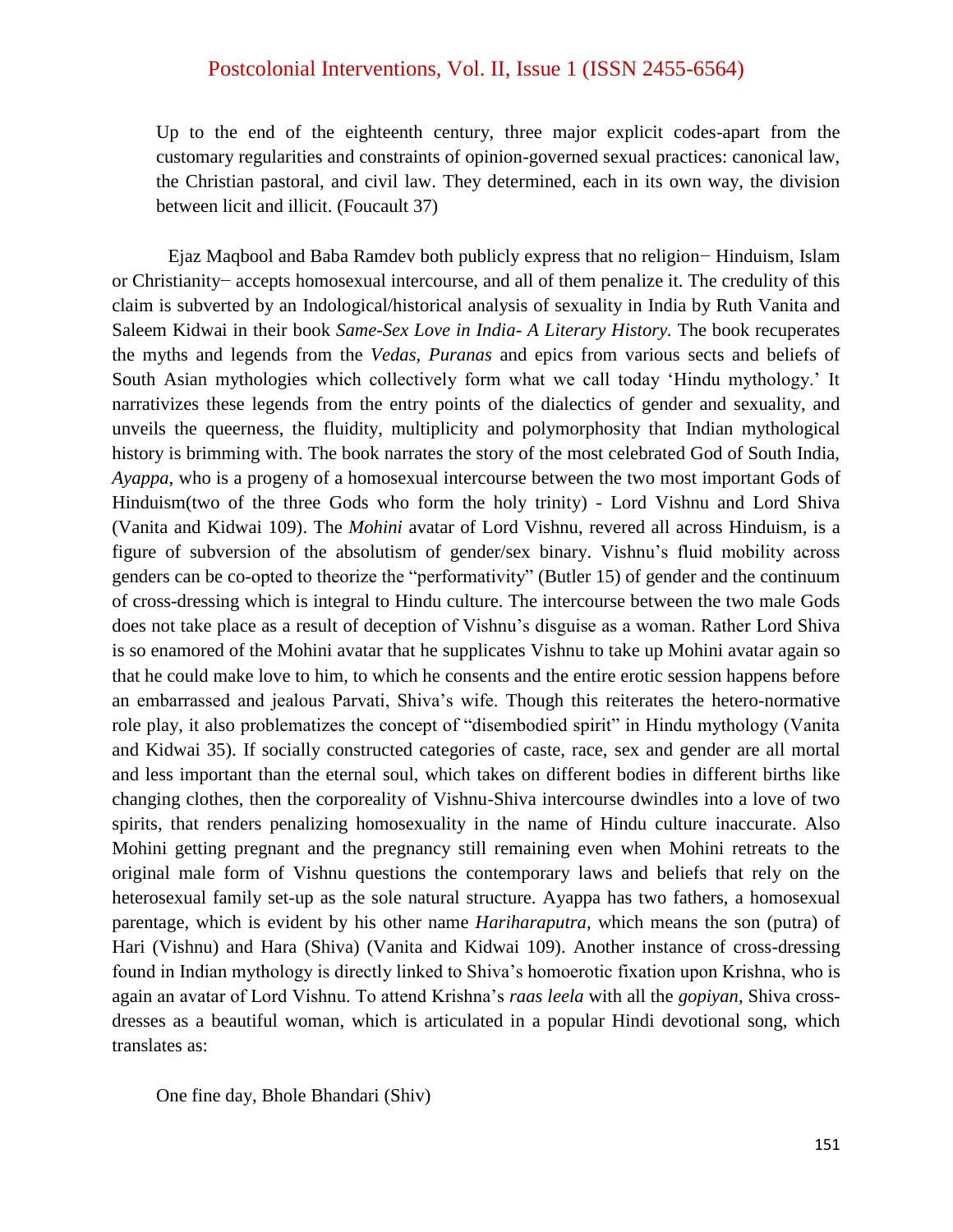Up to the end of the eighteenth century, three major explicit codes-apart from the customary regularities and constraints of opinion-governed sexual practices: canonical law, the Christian pastoral, and civil law. They determined, each in its own way, the division between licit and illicit. (Foucault 37)

Ejaz Maqbool and Baba Ramdev both publicly express that no religion− Hinduism, Islam or Christianity− accepts homosexual intercourse, and all of them penalize it. The credulity of this claim is subverted by an Indological/historical analysis of sexuality in India by Ruth Vanita and Saleem Kidwai in their book *Same-Sex Love in India- A Literary History.* The book recuperates the myths and legends from the *Vedas, Puranas* and epics from various sects and beliefs of South Asian mythologies which collectively form what we call today "Hindu mythology." It narrativizes these legends from the entry points of the dialectics of gender and sexuality, and unveils the queerness, the fluidity, multiplicity and polymorphosity that Indian mythological history is brimming with. The book narrates the story of the most celebrated God of South India, *Ayappa*, who is a progeny of a homosexual intercourse between the two most important Gods of Hinduism(two of the three Gods who form the holy trinity) - Lord Vishnu and Lord Shiva (Vanita and Kidwai 109). The *Mohini* avatar of Lord Vishnu, revered all across Hinduism, is a figure of subversion of the absolutism of gender/sex binary. Vishnu"s fluid mobility across genders can be co-opted to theorize the "performativity" (Butler 15) of gender and the continuum of cross-dressing which is integral to Hindu culture. The intercourse between the two male Gods does not take place as a result of deception of Vishnu"s disguise as a woman. Rather Lord Shiva is so enamored of the Mohini avatar that he supplicates Vishnu to take up Mohini avatar again so that he could make love to him, to which he consents and the entire erotic session happens before an embarrassed and jealous Parvati, Shiva"s wife. Though this reiterates the hetero-normative role play, it also problematizes the concept of "disembodied spirit" in Hindu mythology (Vanita and Kidwai 35). If socially constructed categories of caste, race, sex and gender are all mortal and less important than the eternal soul, which takes on different bodies in different births like changing clothes, then the corporeality of Vishnu-Shiva intercourse dwindles into a love of two spirits, that renders penalizing homosexuality in the name of Hindu culture inaccurate. Also Mohini getting pregnant and the pregnancy still remaining even when Mohini retreats to the original male form of Vishnu questions the contemporary laws and beliefs that rely on the heterosexual family set-up as the sole natural structure. Ayappa has two fathers, a homosexual parentage, which is evident by his other name *Hariharaputra,* which means the son (putra) of Hari (Vishnu) and Hara (Shiva) (Vanita and Kidwai 109). Another instance of cross-dressing found in Indian mythology is directly linked to Shiva"s homoerotic fixation upon Krishna, who is again an avatar of Lord Vishnu. To attend Krishna"s *raas leela* with all the *gopiyan*, Shiva crossdresses as a beautiful woman, which is articulated in a popular Hindi devotional song, which translates as:

One fine day, Bhole Bhandari (Shiv)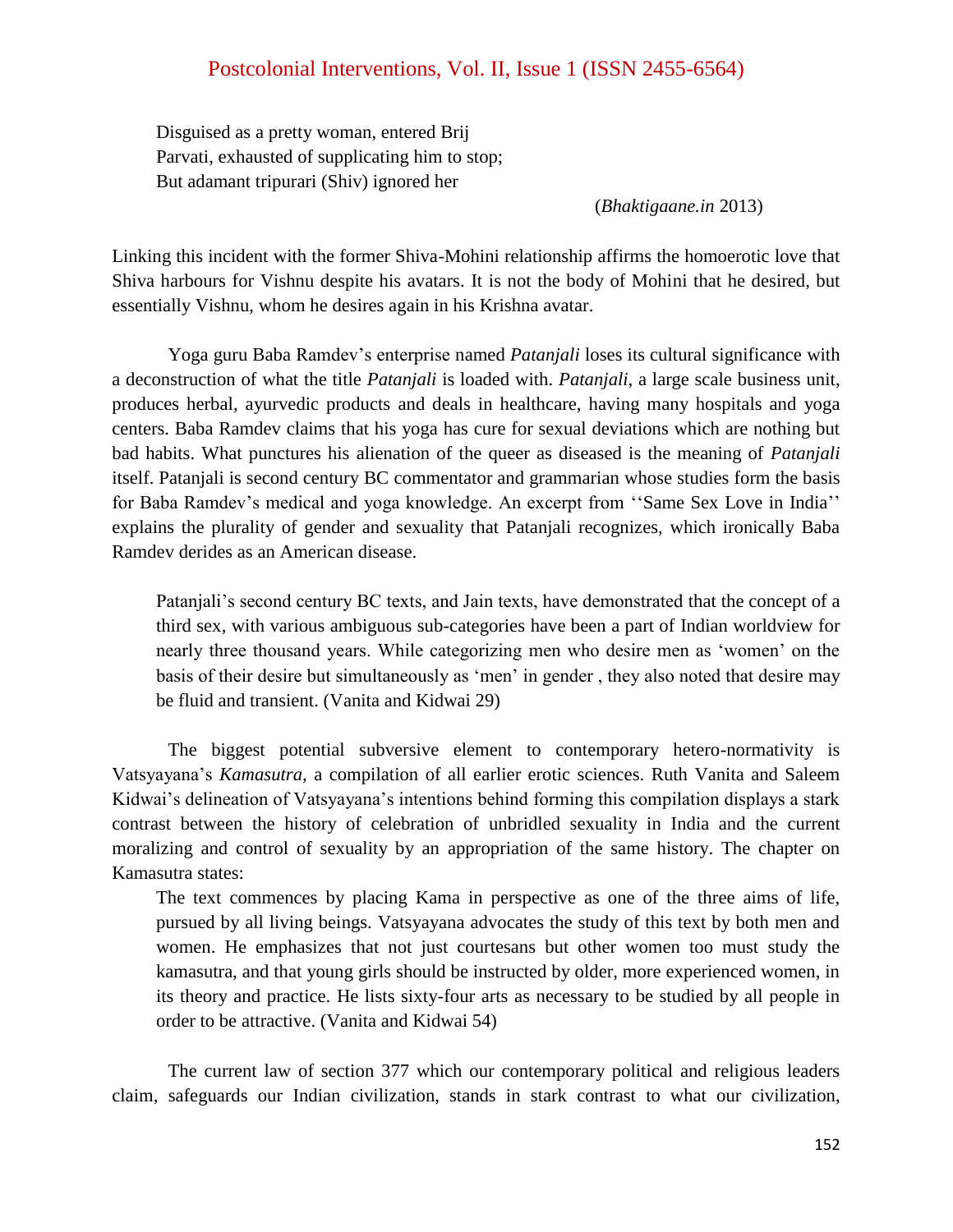Disguised as a pretty woman, entered Brij Parvati, exhausted of supplicating him to stop; But adamant tripurari (Shiv) ignored her

(*Bhaktigaane.in* 2013)

Linking this incident with the former Shiva-Mohini relationship affirms the homoerotic love that Shiva harbours for Vishnu despite his avatars. It is not the body of Mohini that he desired, but essentially Vishnu, whom he desires again in his Krishna avatar.

Yoga guru Baba Ramdev"s enterprise named *Patanjali* loses its cultural significance with a deconstruction of what the title *Patanjali* is loaded with. *Patanjali*, a large scale business unit, produces herbal, ayurvedic products and deals in healthcare, having many hospitals and yoga centers. Baba Ramdev claims that his yoga has cure for sexual deviations which are nothing but bad habits. What punctures his alienation of the queer as diseased is the meaning of *Patanjali* itself. Patanjali is second century BC commentator and grammarian whose studies form the basis for Baba Ramdev's medical and yoga knowledge. An excerpt from "Same Sex Love in India" explains the plurality of gender and sexuality that Patanjali recognizes, which ironically Baba Ramdev derides as an American disease.

Patanjali's second century BC texts, and Jain texts, have demonstrated that the concept of a third sex, with various ambiguous sub-categories have been a part of Indian worldview for nearly three thousand years. While categorizing men who desire men as "women" on the basis of their desire but simultaneously as 'men' in gender, they also noted that desire may be fluid and transient. (Vanita and Kidwai 29)

The biggest potential subversive element to contemporary hetero-normativity is Vatsyayana"s *Kamasutra,* a compilation of all earlier erotic sciences. Ruth Vanita and Saleem Kidwai's delineation of Vatsyayana's intentions behind forming this compilation displays a stark contrast between the history of celebration of unbridled sexuality in India and the current moralizing and control of sexuality by an appropriation of the same history. The chapter on Kamasutra states:

The text commences by placing Kama in perspective as one of the three aims of life, pursued by all living beings. Vatsyayana advocates the study of this text by both men and women. He emphasizes that not just courtesans but other women too must study the kamasutra, and that young girls should be instructed by older, more experienced women, in its theory and practice. He lists sixty-four arts as necessary to be studied by all people in order to be attractive. (Vanita and Kidwai 54)

The current law of section 377 which our contemporary political and religious leaders claim, safeguards our Indian civilization, stands in stark contrast to what our civilization,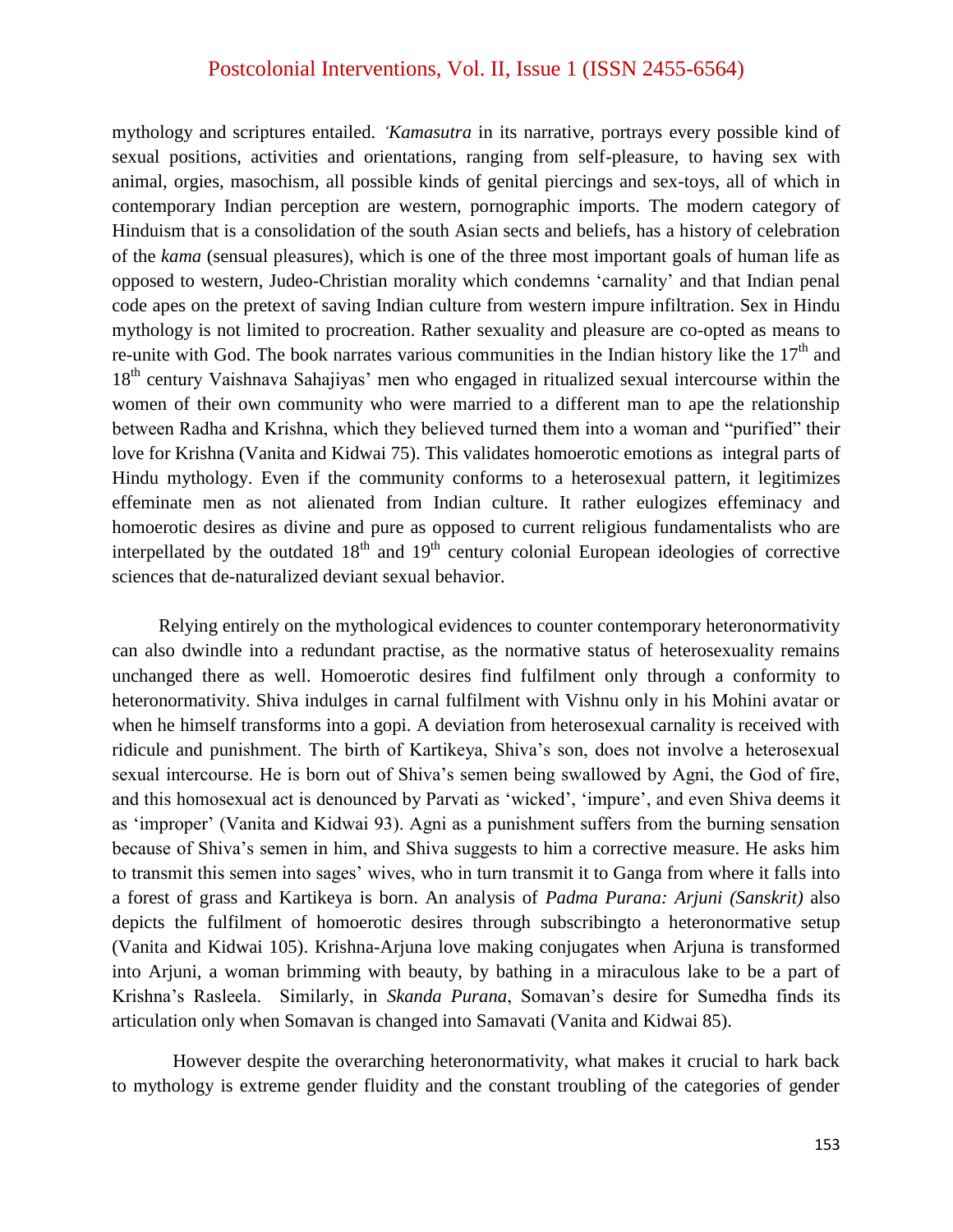mythology and scriptures entailed. *'Kamasutra* in its narrative, portrays every possible kind of sexual positions, activities and orientations, ranging from self-pleasure, to having sex with animal, orgies, masochism, all possible kinds of genital piercings and sex-toys, all of which in contemporary Indian perception are western, pornographic imports. The modern category of Hinduism that is a consolidation of the south Asian sects and beliefs, has a history of celebration of the *kama* (sensual pleasures), which is one of the three most important goals of human life as opposed to western, Judeo-Christian morality which condemns "carnality" and that Indian penal code apes on the pretext of saving Indian culture from western impure infiltration. Sex in Hindu mythology is not limited to procreation. Rather sexuality and pleasure are co-opted as means to re-unite with God. The book narrates various communities in the Indian history like the  $17<sup>th</sup>$  and 18<sup>th</sup> century Vaishnava Sahajiyas' men who engaged in ritualized sexual intercourse within the women of their own community who were married to a different man to ape the relationship between Radha and Krishna, which they believed turned them into a woman and "purified" their love for Krishna (Vanita and Kidwai 75). This validates homoerotic emotions as integral parts of Hindu mythology. Even if the community conforms to a heterosexual pattern, it legitimizes effeminate men as not alienated from Indian culture. It rather eulogizes effeminacy and homoerotic desires as divine and pure as opposed to current religious fundamentalists who are interpellated by the outdated  $18<sup>th</sup>$  and  $19<sup>th</sup>$  century colonial European ideologies of corrective sciences that de-naturalized deviant sexual behavior.

 Relying entirely on the mythological evidences to counter contemporary heteronormativity can also dwindle into a redundant practise, as the normative status of heterosexuality remains unchanged there as well. Homoerotic desires find fulfilment only through a conformity to heteronormativity. Shiva indulges in carnal fulfilment with Vishnu only in his Mohini avatar or when he himself transforms into a gopi. A deviation from heterosexual carnality is received with ridicule and punishment. The birth of Kartikeya, Shiva"s son, does not involve a heterosexual sexual intercourse. He is born out of Shiva"s semen being swallowed by Agni, the God of fire, and this homosexual act is denounced by Parvati as "wicked", "impure", and even Shiva deems it as "improper" (Vanita and Kidwai 93). Agni as a punishment suffers from the burning sensation because of Shiva"s semen in him, and Shiva suggests to him a corrective measure. He asks him to transmit this semen into sages' wives, who in turn transmit it to Ganga from where it falls into a forest of grass and Kartikeya is born. An analysis of *Padma Purana: Arjuni (Sanskrit)* also depicts the fulfilment of homoerotic desires through subscribingto a heteronormative setup (Vanita and Kidwai 105). Krishna-Arjuna love making conjugates when Arjuna is transformed into Arjuni, a woman brimming with beauty, by bathing in a miraculous lake to be a part of Krishna"s Rasleela. Similarly, in *Skanda Purana*, Somavan"s desire for Sumedha finds its articulation only when Somavan is changed into Samavati (Vanita and Kidwai 85).

However despite the overarching heteronormativity, what makes it crucial to hark back to mythology is extreme gender fluidity and the constant troubling of the categories of gender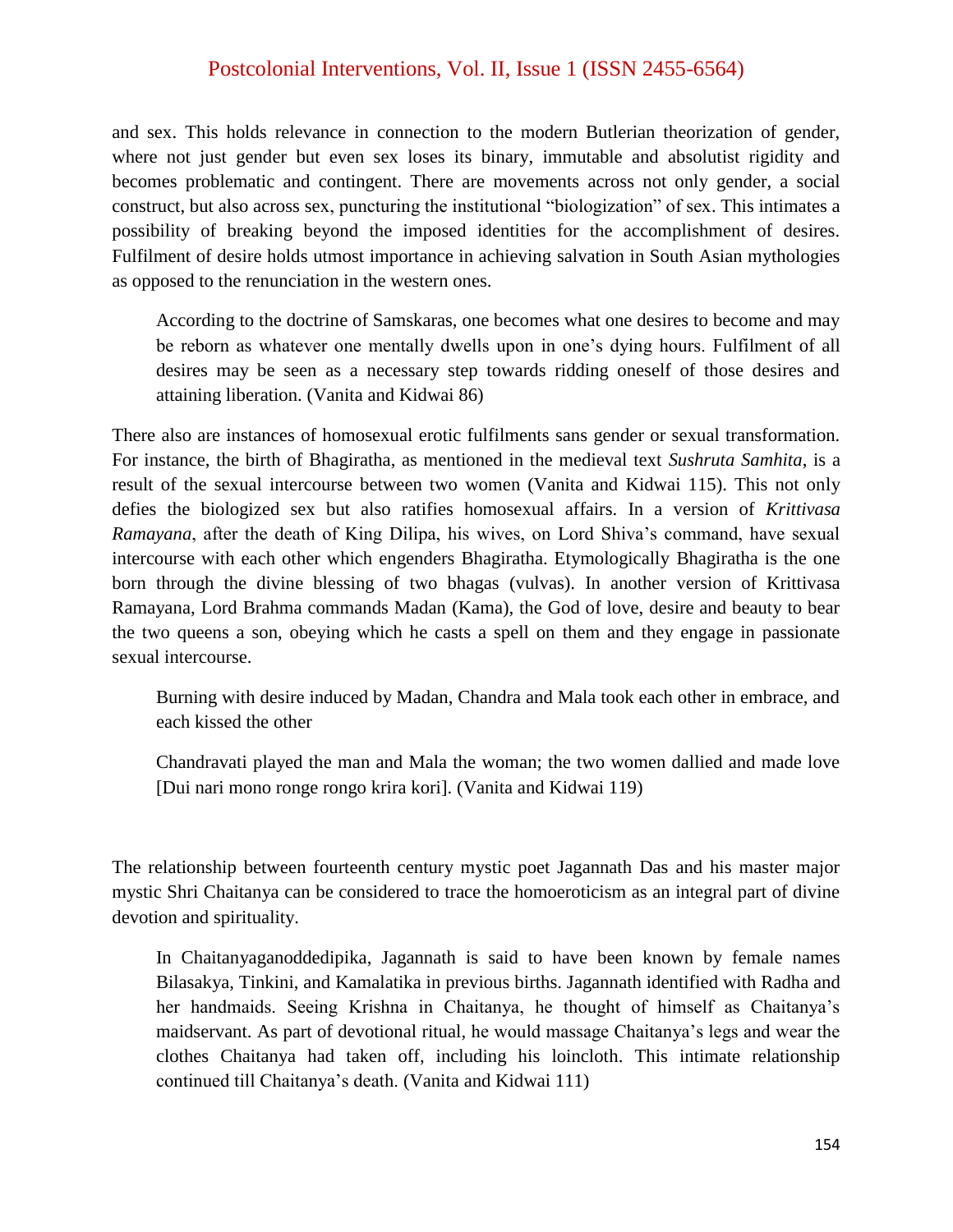and sex. This holds relevance in connection to the modern Butlerian theorization of gender, where not just gender but even sex loses its binary, immutable and absolutist rigidity and becomes problematic and contingent. There are movements across not only gender, a social construct, but also across sex, puncturing the institutional "biologization" of sex. This intimates a possibility of breaking beyond the imposed identities for the accomplishment of desires. Fulfilment of desire holds utmost importance in achieving salvation in South Asian mythologies as opposed to the renunciation in the western ones.

According to the doctrine of Samskaras, one becomes what one desires to become and may be reborn as whatever one mentally dwells upon in one"s dying hours. Fulfilment of all desires may be seen as a necessary step towards ridding oneself of those desires and attaining liberation. (Vanita and Kidwai 86)

There also are instances of homosexual erotic fulfilments sans gender or sexual transformation. For instance, the birth of Bhagiratha, as mentioned in the medieval text *Sushruta Samhita*, is a result of the sexual intercourse between two women (Vanita and Kidwai 115). This not only defies the biologized sex but also ratifies homosexual affairs. In a version of *Krittivasa Ramayana*, after the death of King Dilipa, his wives, on Lord Shiva's command, have sexual intercourse with each other which engenders Bhagiratha. Etymologically Bhagiratha is the one born through the divine blessing of two bhagas (vulvas). In another version of Krittivasa Ramayana, Lord Brahma commands Madan (Kama), the God of love, desire and beauty to bear the two queens a son, obeying which he casts a spell on them and they engage in passionate sexual intercourse.

Burning with desire induced by Madan, Chandra and Mala took each other in embrace, and each kissed the other

Chandravati played the man and Mala the woman; the two women dallied and made love [Dui nari mono ronge rongo krira kori]. (Vanita and Kidwai 119)

The relationship between fourteenth century mystic poet Jagannath Das and his master major mystic Shri Chaitanya can be considered to trace the homoeroticism as an integral part of divine devotion and spirituality.

In Chaitanyaganoddedipika, Jagannath is said to have been known by female names Bilasakya, Tinkini, and Kamalatika in previous births. Jagannath identified with Radha and her handmaids. Seeing Krishna in Chaitanya, he thought of himself as Chaitanya"s maidservant. As part of devotional ritual, he would massage Chaitanya"s legs and wear the clothes Chaitanya had taken off, including his loincloth. This intimate relationship continued till Chaitanya"s death. (Vanita and Kidwai 111)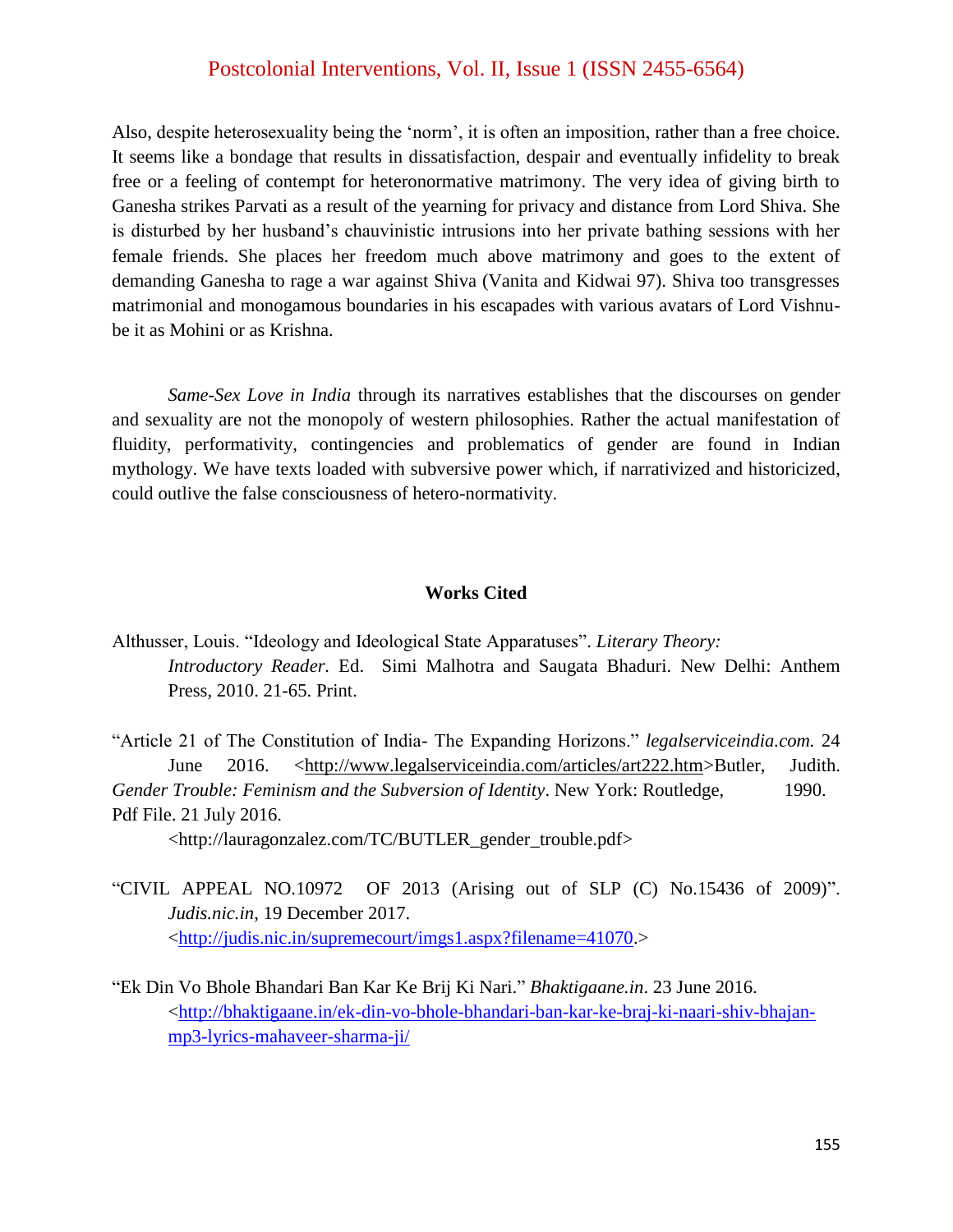Also, despite heterosexuality being the "norm", it is often an imposition, rather than a free choice. It seems like a bondage that results in dissatisfaction, despair and eventually infidelity to break free or a feeling of contempt for heteronormative matrimony. The very idea of giving birth to Ganesha strikes Parvati as a result of the yearning for privacy and distance from Lord Shiva. She is disturbed by her husband"s chauvinistic intrusions into her private bathing sessions with her female friends. She places her freedom much above matrimony and goes to the extent of demanding Ganesha to rage a war against Shiva (Vanita and Kidwai 97). Shiva too transgresses matrimonial and monogamous boundaries in his escapades with various avatars of Lord Vishnube it as Mohini or as Krishna.

*Same-Sex Love in India* through its narratives establishes that the discourses on gender and sexuality are not the monopoly of western philosophies. Rather the actual manifestation of fluidity, performativity, contingencies and problematics of gender are found in Indian mythology. We have texts loaded with subversive power which, if narrativized and historicized, could outlive the false consciousness of hetero-normativity.

#### **Works Cited**

Althusser, Louis. "Ideology and Ideological State Apparatuses". *Literary Theory: Introductory Reader.* Ed. Simi Malhotra and Saugata Bhaduri. New Delhi: Anthem Press, 2010. 21-65. Print.

"Article 21 of The Constitution of India- The Expanding Horizons." *legalserviceindia.com.* 24 June 2016. [<http://www.legalserviceindia.com/articles/art222.htm>](http://www.legalserviceindia.com/articles/art222.htm)Butler, Judith. *Gender Trouble: Feminism and the Subversion of Identity*. New York: Routledge, 1990. Pdf File. 21 July 2016.

<http://lauragonzalez.com/TC/BUTLER\_gender\_trouble.pdf>

- "CIVIL APPEAL NO.10972 OF 2013 (Arising out of SLP (C) No.15436 of 2009)". *Judis.nic.in*, 19 December 2017. [<http://judis.nic.in/supremecourt/imgs1.aspx?filename=41070.](http://judis.nic.in/supremecourt/imgs1.aspx?filename=41070)>
- "Ek Din Vo Bhole Bhandari Ban Kar Ke Brij Ki Nari." *Bhaktigaane.in*. 23 June 2016. [<http://bhaktigaane.in/ek-din-vo-bhole-bhandari-ban-kar-ke-braj-ki-naari-shiv-bhajan](http://bhaktigaane.in/ek-din-vo-bhole-bhandari-ban-kar-ke-braj-ki-naari-shiv-bhajan-mp3-lyrics-mahaveer-sharma-ji/)[mp3-lyrics-mahaveer-sharma-ji/](http://bhaktigaane.in/ek-din-vo-bhole-bhandari-ban-kar-ke-braj-ki-naari-shiv-bhajan-mp3-lyrics-mahaveer-sharma-ji/)